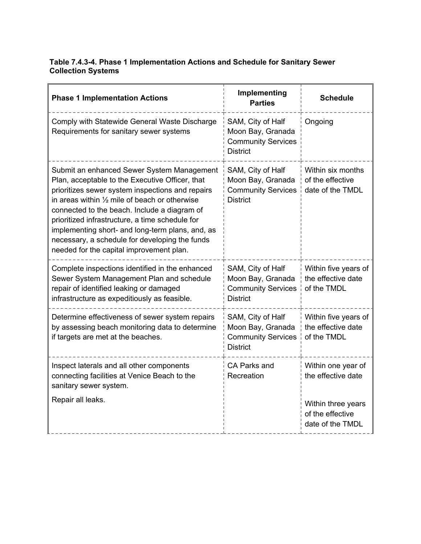## **Table 7.4.3-4. Phase 1 Implementation Actions and Schedule for Sanitary Sewer Collection Systems**

| <b>Phase 1 Implementation Actions</b>                                                                                                                                                                                                                                                                                                                                                                                                                              | Implementing<br><b>Parties</b>                                                         | <b>Schedule</b>                                                |
|--------------------------------------------------------------------------------------------------------------------------------------------------------------------------------------------------------------------------------------------------------------------------------------------------------------------------------------------------------------------------------------------------------------------------------------------------------------------|----------------------------------------------------------------------------------------|----------------------------------------------------------------|
| Comply with Statewide General Waste Discharge<br>Requirements for sanitary sewer systems                                                                                                                                                                                                                                                                                                                                                                           | SAM, City of Half<br>Moon Bay, Granada<br><b>Community Services</b><br><b>District</b> | Ongoing                                                        |
| Submit an enhanced Sewer System Management<br>Plan, acceptable to the Executive Officer, that<br>prioritizes sewer system inspections and repairs<br>in areas within $\frac{1}{2}$ mile of beach or otherwise<br>connected to the beach. Include a diagram of<br>prioritized infrastructure, a time schedule for<br>implementing short- and long-term plans, and, as<br>necessary, a schedule for developing the funds<br>needed for the capital improvement plan. | SAM, City of Half<br>Moon Bay, Granada<br><b>Community Services</b><br><b>District</b> | Within six months<br>of the effective<br>date of the TMDL      |
| Complete inspections identified in the enhanced<br>Sewer System Management Plan and schedule<br>repair of identified leaking or damaged<br>infrastructure as expeditiously as feasible.                                                                                                                                                                                                                                                                            | SAM, City of Half<br>Moon Bay, Granada<br><b>Community Services</b><br><b>District</b> | Within five years of<br>the effective date<br>of the TMDL      |
| Determine effectiveness of sewer system repairs<br>by assessing beach monitoring data to determine<br>if targets are met at the beaches.                                                                                                                                                                                                                                                                                                                           | SAM, City of Half<br>Moon Bay, Granada<br><b>Community Services</b><br><b>District</b> | Within five years of<br>the effective date<br>of the TMDL      |
| Inspect laterals and all other components<br>connecting facilities at Venice Beach to the<br>sanitary sewer system.<br>Repair all leaks.                                                                                                                                                                                                                                                                                                                           | CA Parks and<br>Recreation                                                             | Within one year of<br>the effective date<br>Within three years |
|                                                                                                                                                                                                                                                                                                                                                                                                                                                                    |                                                                                        | of the effective<br>date of the TMDL                           |